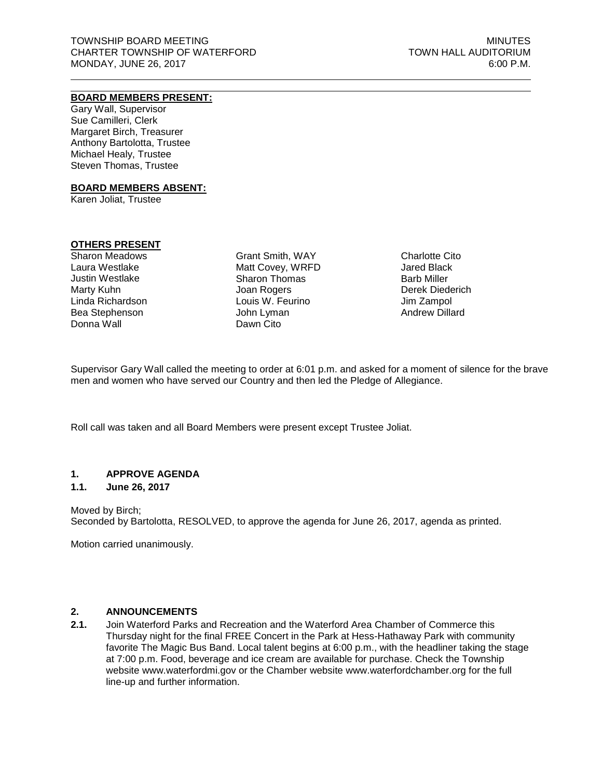## **BOARD MEMBERS PRESENT:**

Gary Wall, Supervisor Sue Camilleri, Clerk Margaret Birch, Treasurer Anthony Bartolotta, Trustee Michael Healy, Trustee Steven Thomas, Trustee

### **BOARD MEMBERS ABSENT:**

Karen Joliat, Trustee

### **OTHERS PRESENT**

Sharon Meadows Laura Westlake Justin Westlake Marty Kuhn Linda Richardson Bea Stephenson Donna Wall

Grant Smith, WAY Matt Covey, WRFD Sharon Thomas Joan Rogers Louis W. Feurino John Lyman Dawn Cito

Charlotte Cito Jared Black Barb Miller Derek Diederich Jim Zampol Andrew Dillard

Supervisor Gary Wall called the meeting to order at 6:01 p.m. and asked for a moment of silence for the brave men and women who have served our Country and then led the Pledge of Allegiance.

Roll call was taken and all Board Members were present except Trustee Joliat.

### **1. APPROVE AGENDA**

### **1.1. June 26, 2017**

Moved by Birch; Seconded by Bartolotta, RESOLVED, to approve the agenda for June 26, 2017, agenda as printed.

Motion carried unanimously.

## **2. ANNOUNCEMENTS**

**2.1.** Join Waterford Parks and Recreation and the Waterford Area Chamber of Commerce this Thursday night for the final FREE Concert in the Park at Hess-Hathaway Park with community favorite The Magic Bus Band. Local talent begins at 6:00 p.m., with the headliner taking the stage at 7:00 p.m. Food, beverage and ice cream are available for purchase. Check the Township website www.waterfordmi.gov or the Chamber website www.waterfordchamber.org for the full line-up and further information.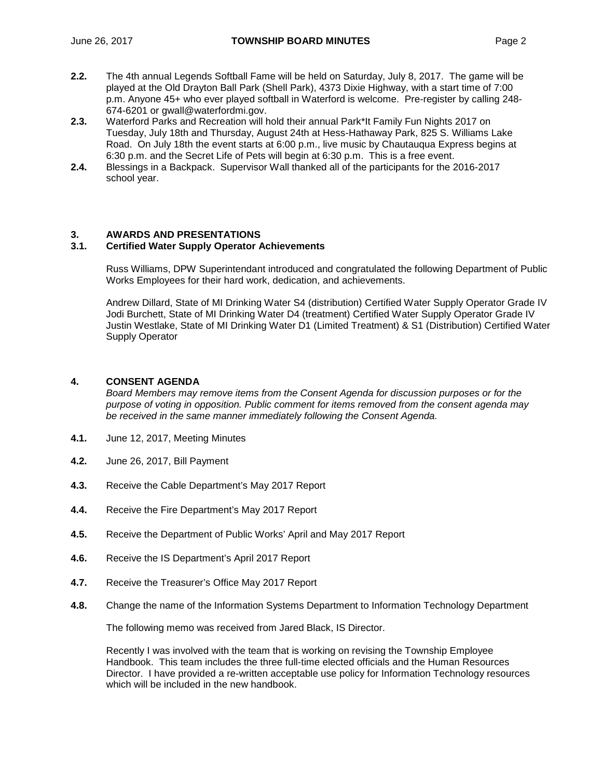- **2.2.** The 4th annual Legends Softball Fame will be held on Saturday, July 8, 2017. The game will be played at the Old Drayton Ball Park (Shell Park), 4373 Dixie Highway, with a start time of 7:00 p.m. Anyone 45+ who ever played softball in Waterford is welcome. Pre-register by calling 248- 674-6201 or [gwall@waterfordmi.gov.](mailto:gwall@waterfordmi.gov)
- **2.3.** Waterford Parks and Recreation will hold their annual Park\*It Family Fun Nights 2017 on Tuesday, July 18th and Thursday, August 24th at Hess-Hathaway Park, 825 S. Williams Lake Road. On July 18th the event starts at 6:00 p.m., live music by Chautauqua Express begins at 6:30 p.m. and the Secret Life of Pets will begin at 6:30 p.m. This is a free event.
- **2.4.** Blessings in a Backpack. Supervisor Wall thanked all of the participants for the 2016-2017 school year.

# **3. AWARDS AND PRESENTATIONS**

### **3.1. Certified Water Supply Operator Achievements**

Russ Williams, DPW Superintendant introduced and congratulated the following Department of Public Works Employees for their hard work, dedication, and achievements.

Andrew Dillard, State of MI Drinking Water S4 (distribution) Certified Water Supply Operator Grade IV Jodi Burchett, State of MI Drinking Water D4 (treatment) Certified Water Supply Operator Grade IV Justin Westlake, State of MI Drinking Water D1 (Limited Treatment) & S1 (Distribution) Certified Water Supply Operator

### **4. CONSENT AGENDA**

*Board Members may remove items from the Consent Agenda for discussion purposes or for the purpose of voting in opposition. Public comment for items removed from the consent agenda may be received in the same manner immediately following the Consent Agenda.*

- **4.1.** June 12, 2017, Meeting Minutes
- **4.2.** June 26, 2017, Bill Payment
- **4.3.** Receive the Cable Department's May 2017 Report
- **4.4.** Receive the Fire Department's May 2017 Report
- **4.5.** Receive the Department of Public Works' April and May 2017 Report
- **4.6.** Receive the IS Department's April 2017 Report
- **4.7.** Receive the Treasurer's Office May 2017 Report
- **4.8.** Change the name of the Information Systems Department to Information Technology Department

The following memo was received from Jared Black, IS Director.

Recently I was involved with the team that is working on revising the Township Employee Handbook. This team includes the three full-time elected officials and the Human Resources Director. I have provided a re-written acceptable use policy for Information Technology resources which will be included in the new handbook.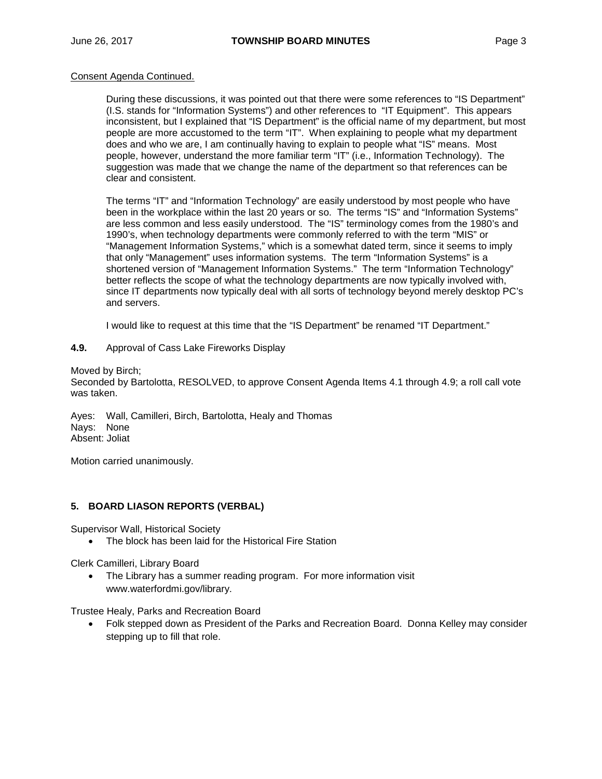### Consent Agenda Continued.

During these discussions, it was pointed out that there were some references to "IS Department" (I.S. stands for "Information Systems") and other references to "IT Equipment". This appears inconsistent, but I explained that "IS Department" is the official name of my department, but most people are more accustomed to the term "IT". When explaining to people what my department does and who we are, I am continually having to explain to people what "IS" means. Most people, however, understand the more familiar term "IT" (i.e., Information Technology). The suggestion was made that we change the name of the department so that references can be clear and consistent.

The terms "IT" and "Information Technology" are easily understood by most people who have been in the workplace within the last 20 years or so. The terms "IS" and "Information Systems" are less common and less easily understood. The "IS" terminology comes from the 1980's and 1990's, when technology departments were commonly referred to with the term "MIS" or "Management Information Systems," which is a somewhat dated term, since it seems to imply that only "Management" uses information systems. The term "Information Systems" is a shortened version of "Management Information Systems." The term "Information Technology" better reflects the scope of what the technology departments are now typically involved with, since IT departments now typically deal with all sorts of technology beyond merely desktop PC's and servers.

I would like to request at this time that the "IS Department" be renamed "IT Department."

**4.9.** Approval of Cass Lake Fireworks Display

Moved by Birch;

Seconded by Bartolotta, RESOLVED, to approve Consent Agenda Items 4.1 through 4.9; a roll call vote was taken.

Ayes: Wall, Camilleri, Birch, Bartolotta, Healy and Thomas Nays: None Absent: Joliat

Motion carried unanimously.

## **5. BOARD LIASON REPORTS (VERBAL)**

Supervisor Wall, Historical Society

• The block has been laid for the Historical Fire Station

Clerk Camilleri, Library Board

• The Library has a summer reading program. For more information visit www.waterfordmi.gov/library.

Trustee Healy, Parks and Recreation Board

• Folk stepped down as President of the Parks and Recreation Board. Donna Kelley may consider stepping up to fill that role.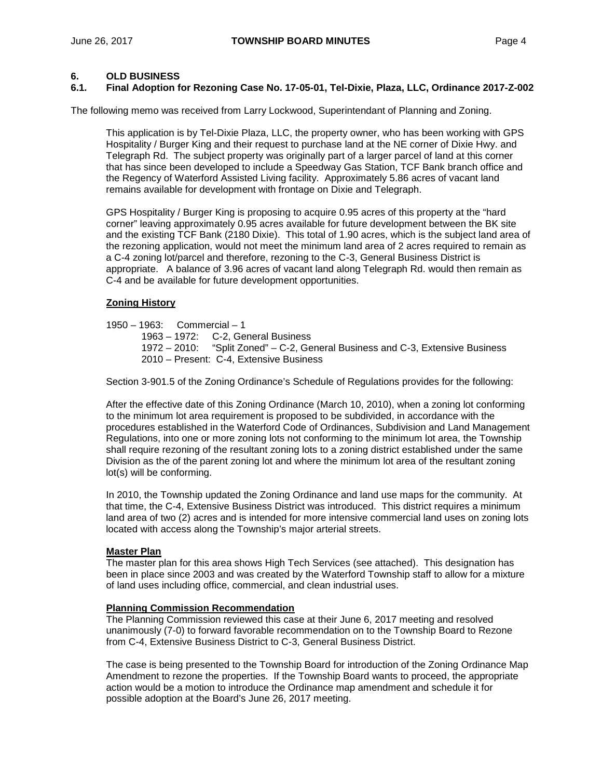### **6. OLD BUSINESS**

### **6.1. Final Adoption for Rezoning Case No. 17-05-01, Tel-Dixie, Plaza, LLC, Ordinance 2017-Z-002**

The following memo was received from Larry Lockwood, Superintendant of Planning and Zoning.

This application is by Tel-Dixie Plaza, LLC, the property owner, who has been working with GPS Hospitality / Burger King and their request to purchase land at the NE corner of Dixie Hwy. and Telegraph Rd. The subject property was originally part of a larger parcel of land at this corner that has since been developed to include a Speedway Gas Station, TCF Bank branch office and the Regency of Waterford Assisted Living facility. Approximately 5.86 acres of vacant land remains available for development with frontage on Dixie and Telegraph.

GPS Hospitality / Burger King is proposing to acquire 0.95 acres of this property at the "hard corner" leaving approximately 0.95 acres available for future development between the BK site and the existing TCF Bank (2180 Dixie). This total of 1.90 acres, which is the subject land area of the rezoning application, would not meet the minimum land area of 2 acres required to remain as a C-4 zoning lot/parcel and therefore, rezoning to the C-3, General Business District is appropriate. A balance of 3.96 acres of vacant land along Telegraph Rd. would then remain as C-4 and be available for future development opportunities.

### **Zoning History**

- 1950 1963: Commercial 1
	- 1963 1972: C-2, General Business<br>1972 2010: "Split Zoned" C-2. Ge "Split Zoned" – C-2, General Business and C-3, Extensive Business 2010 – Present: C-4, Extensive Business

Section 3-901.5 of the Zoning Ordinance's Schedule of Regulations provides for the following:

After the effective date of this Zoning Ordinance (March 10, 2010), when a zoning lot conforming to the minimum lot area requirement is proposed to be subdivided, in accordance with the procedures established in the Waterford Code of Ordinances, Subdivision and Land Management Regulations, into one or more zoning lots not conforming to the minimum lot area, the Township shall require rezoning of the resultant zoning lots to a zoning district established under the same Division as the of the parent zoning lot and where the minimum lot area of the resultant zoning lot(s) will be conforming.

In 2010, the Township updated the Zoning Ordinance and land use maps for the community. At that time, the C-4, Extensive Business District was introduced. This district requires a minimum land area of two (2) acres and is intended for more intensive commercial land uses on zoning lots located with access along the Township's major arterial streets.

### **Master Plan**

The master plan for this area shows High Tech Services (see attached). This designation has been in place since 2003 and was created by the Waterford Township staff to allow for a mixture of land uses including office, commercial, and clean industrial uses.

### **Planning Commission Recommendation**

The Planning Commission reviewed this case at their June 6, 2017 meeting and resolved unanimously (7-0) to forward favorable recommendation on to the Township Board to Rezone from C-4, Extensive Business District to C-3, General Business District.

The case is being presented to the Township Board for introduction of the Zoning Ordinance Map Amendment to rezone the properties. If the Township Board wants to proceed, the appropriate action would be a motion to introduce the Ordinance map amendment and schedule it for possible adoption at the Board's June 26, 2017 meeting.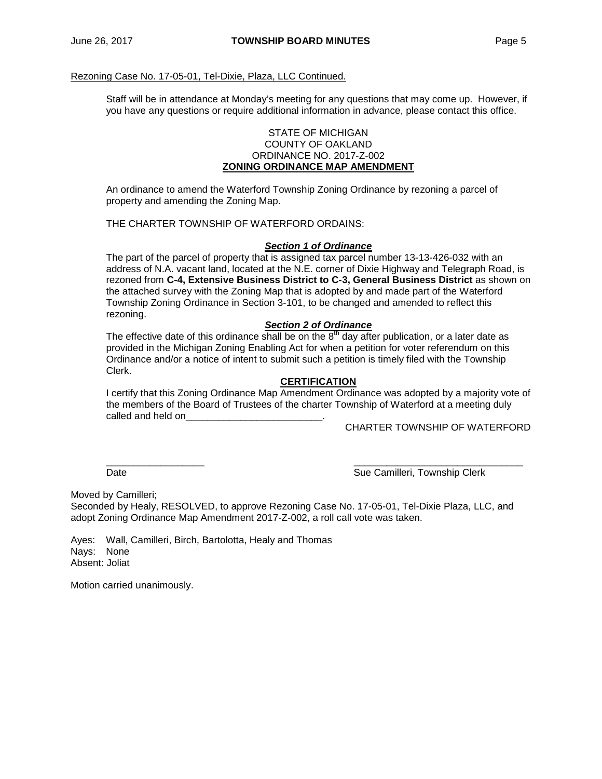### Rezoning Case No. 17-05-01, Tel-Dixie, Plaza, LLC Continued.

Staff will be in attendance at Monday's meeting for any questions that may come up. However, if you have any questions or require additional information in advance, please contact this office.

### STATE OF MICHIGAN COUNTY OF OAKLAND ORDINANCE NO. 2017-Z-002 **ZONING ORDINANCE MAP AMENDMENT**

An ordinance to amend the Waterford Township Zoning Ordinance by rezoning a parcel of property and amending the Zoning Map.

THE CHARTER TOWNSHIP OF WATERFORD ORDAINS:

### *Section 1 of Ordinance*

The part of the parcel of property that is assigned tax parcel number 13-13-426-032 with an address of N.A. vacant land, located at the N.E. corner of Dixie Highway and Telegraph Road, is rezoned from **C-4, Extensive Business District to C-3, General Business District** as shown on the attached survey with the Zoning Map that is adopted by and made part of the Waterford Township Zoning Ordinance in Section 3-101, to be changed and amended to reflect this rezoning.

## *Section 2 of Ordinance*

The effective date of this ordinance shall be on the  $8<sup>th</sup>$  day after publication, or a later date as provided in the Michigan Zoning Enabling Act for when a petition for voter referendum on this Ordinance and/or a notice of intent to submit such a petition is timely filed with the Township Clerk.

### **CERTIFICATION**

I certify that this Zoning Ordinance Map Amendment Ordinance was adopted by a majority vote of the members of the Board of Trustees of the charter Township of Waterford at a meeting duly called and held on

CHARTER TOWNSHIP OF WATERFORD

\_\_\_\_\_\_\_\_\_\_\_\_\_\_\_\_\_\_ \_\_\_\_\_\_\_\_\_\_\_\_\_\_\_\_\_\_\_\_\_\_\_\_\_\_\_\_\_\_\_ Date **Sue Camilleri, Township Clerk** 

Moved by Camilleri;

Seconded by Healy, RESOLVED, to approve Rezoning Case No. 17-05-01, Tel-Dixie Plaza, LLC, and adopt Zoning Ordinance Map Amendment 2017-Z-002, a roll call vote was taken.

Ayes: Wall, Camilleri, Birch, Bartolotta, Healy and Thomas Nays: None Absent: Joliat

Motion carried unanimously.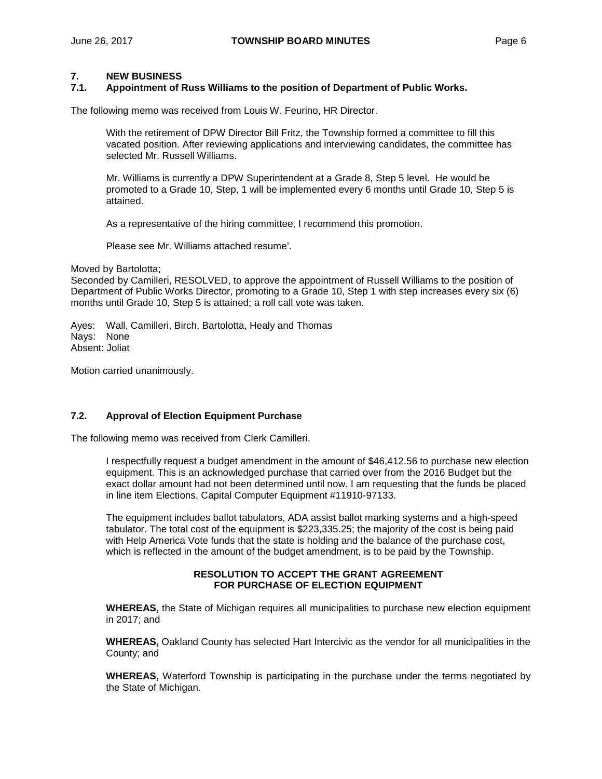# **7. NEW BUSINESS**

### **7.1. Appointment of Russ Williams to the position of Department of Public Works.**

The following memo was received from Louis W. Feurino, HR Director.

With the retirement of DPW Director Bill Fritz, the Township formed a committee to fill this vacated position. After reviewing applications and interviewing candidates, the committee has selected Mr. Russell Williams.

Mr. Williams is currently a DPW Superintendent at a Grade 8, Step 5 level. He would be promoted to a Grade 10, Step, 1 will be implemented every 6 months until Grade 10, Step 5 is attained.

As a representative of the hiring committee, I recommend this promotion.

Please see Mr. Williams attached resume'.

Moved by Bartolotta;

Seconded by Camilleri, RESOLVED, to approve the appointment of Russell Williams to the position of Department of Public Works Director, promoting to a Grade 10, Step 1 with step increases every six (6) months until Grade 10, Step 5 is attained; a roll call vote was taken.

Ayes: Wall, Camilleri, Birch, Bartolotta, Healy and Thomas Nays: None Absent: Joliat

Motion carried unanimously.

### **7.2. Approval of Election Equipment Purchase**

The following memo was received from Clerk Camilleri.

I respectfully request a budget amendment in the amount of \$46,412.56 to purchase new election equipment. This is an acknowledged purchase that carried over from the 2016 Budget but the exact dollar amount had not been determined until now. I am requesting that the funds be placed in line item Elections, Capital Computer Equipment #11910-97133.

The equipment includes ballot tabulators, ADA assist ballot marking systems and a high-speed tabulator. The total cost of the equipment is \$223,335.25; the majority of the cost is being paid with Help America Vote funds that the state is holding and the balance of the purchase cost, which is reflected in the amount of the budget amendment, is to be paid by the Township.

### **RESOLUTION TO ACCEPT THE GRANT AGREEMENT FOR PURCHASE OF ELECTION EQUIPMENT**

**WHEREAS,** the State of Michigan requires all municipalities to purchase new election equipment in 2017; and

**WHEREAS,** Oakland County has selected Hart Intercivic as the vendor for all municipalities in the County; and

**WHEREAS,** Waterford Township is participating in the purchase under the terms negotiated by the State of Michigan.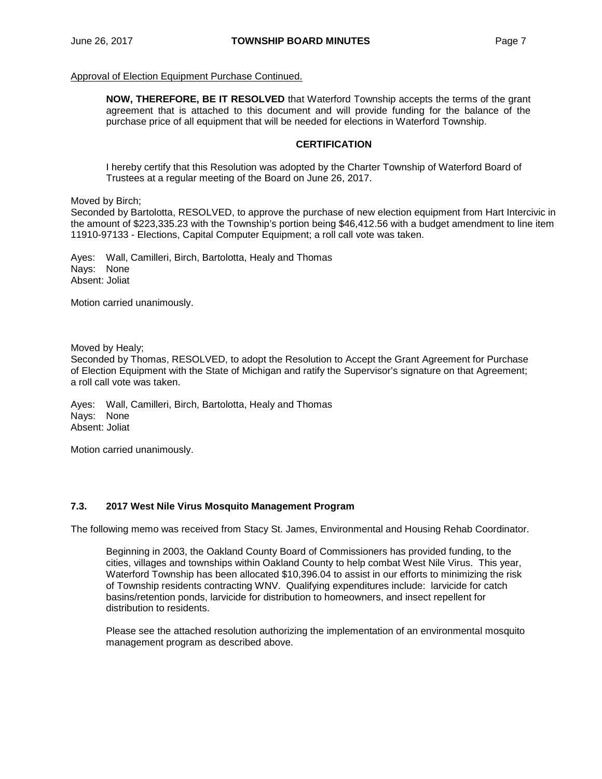### Approval of Election Equipment Purchase Continued.

**NOW, THEREFORE, BE IT RESOLVED** that Waterford Township accepts the terms of the grant agreement that is attached to this document and will provide funding for the balance of the purchase price of all equipment that will be needed for elections in Waterford Township.

### **CERTIFICATION**

I hereby certify that this Resolution was adopted by the Charter Township of Waterford Board of Trustees at a regular meeting of the Board on June 26, 2017.

Moved by Birch;

Seconded by Bartolotta, RESOLVED, to approve the purchase of new election equipment from Hart Intercivic in the amount of \$223,335.23 with the Township's portion being \$46,412.56 with a budget amendment to line item 11910-97133 - Elections, Capital Computer Equipment; a roll call vote was taken.

Ayes: Wall, Camilleri, Birch, Bartolotta, Healy and Thomas Nays: None Absent: Joliat

Motion carried unanimously.

Moved by Healy;

Seconded by Thomas, RESOLVED, to adopt the Resolution to Accept the Grant Agreement for Purchase of Election Equipment with the State of Michigan and ratify the Supervisor's signature on that Agreement; a roll call vote was taken.

Ayes: Wall, Camilleri, Birch, Bartolotta, Healy and Thomas Nays: None Absent: Joliat

Motion carried unanimously.

### **7.3. 2017 West Nile Virus Mosquito Management Program**

The following memo was received from Stacy St. James, Environmental and Housing Rehab Coordinator.

Beginning in 2003, the Oakland County Board of Commissioners has provided funding, to the cities, villages and townships within Oakland County to help combat West Nile Virus. This year, Waterford Township has been allocated \$10,396.04 to assist in our efforts to minimizing the risk of Township residents contracting WNV. Qualifying expenditures include: larvicide for catch basins/retention ponds, larvicide for distribution to homeowners, and insect repellent for distribution to residents.

Please see the attached resolution authorizing the implementation of an environmental mosquito management program as described above.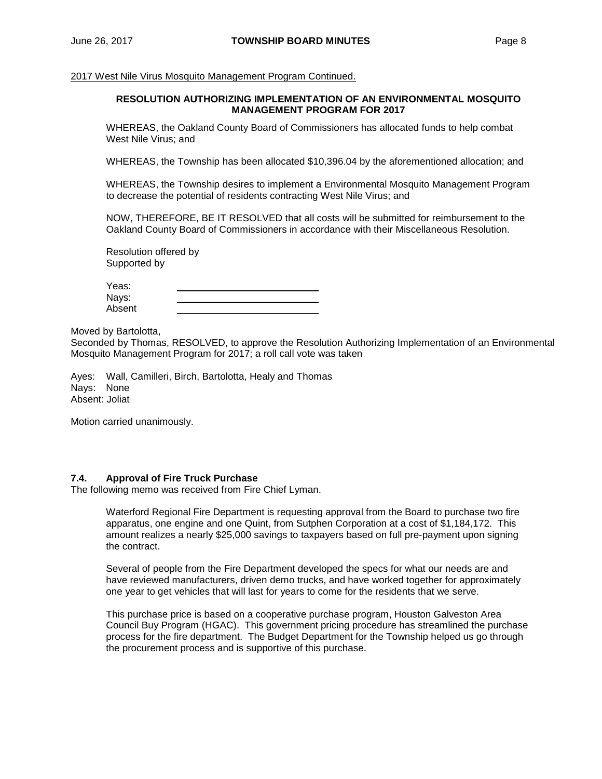2017 West Nile Virus Mosquito Management Program Continued.

### **RESOLUTION AUTHORIZING IMPLEMENTATION OF AN ENVIRONMENTAL MOSQUITO MANAGEMENT PROGRAM FOR 2017**

WHEREAS, the Oakland County Board of Commissioners has allocated funds to help combat West Nile Virus; and

WHEREAS, the Township has been allocated \$10,396.04 by the aforementioned allocation; and

WHEREAS, the Township desires to implement a Environmental Mosquito Management Program to decrease the potential of residents contracting West Nile Virus; and

NOW, THEREFORE, BE IT RESOLVED that all costs will be submitted for reimbursement to the Oakland County Board of Commissioners in accordance with their Miscellaneous Resolution.

Resolution offered by Supported by

| Yeas:  |  |
|--------|--|
| Nays:  |  |
| Absent |  |

Moved by Bartolotta,

Seconded by Thomas, RESOLVED, to approve the Resolution Authorizing Implementation of an Environmental Mosquito Management Program for 2017; a roll call vote was taken

Ayes: Wall, Camilleri, Birch, Bartolotta, Healy and Thomas Nays: None Absent: Joliat

Motion carried unanimously.

### **7.4. Approval of Fire Truck Purchase**

The following memo was received from Fire Chief Lyman.

Waterford Regional Fire Department is requesting approval from the Board to purchase two fire apparatus, one engine and one Quint, from Sutphen Corporation at a cost of \$1,184,172. This amount realizes a nearly \$25,000 savings to taxpayers based on full pre-payment upon signing the contract.

Several of people from the Fire Department developed the specs for what our needs are and have reviewed manufacturers, driven demo trucks, and have worked together for approximately one year to get vehicles that will last for years to come for the residents that we serve.

This purchase price is based on a cooperative purchase program, Houston Galveston Area Council Buy Program (HGAC). This government pricing procedure has streamlined the purchase process for the fire department. The Budget Department for the Township helped us go through the procurement process and is supportive of this purchase.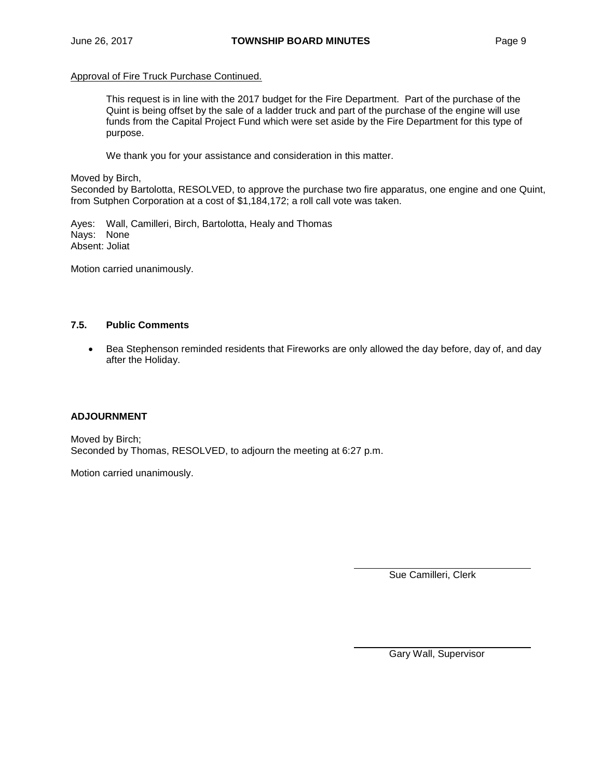### Approval of Fire Truck Purchase Continued.

This request is in line with the 2017 budget for the Fire Department. Part of the purchase of the Quint is being offset by the sale of a ladder truck and part of the purchase of the engine will use funds from the Capital Project Fund which were set aside by the Fire Department for this type of purpose.

We thank you for your assistance and consideration in this matter.

Moved by Birch,

Seconded by Bartolotta, RESOLVED, to approve the purchase two fire apparatus, one engine and one Quint, from Sutphen Corporation at a cost of \$1,184,172; a roll call vote was taken.

Ayes: Wall, Camilleri, Birch, Bartolotta, Healy and Thomas Nays: None Absent: Joliat

Motion carried unanimously.

## **7.5. Public Comments**

• Bea Stephenson reminded residents that Fireworks are only allowed the day before, day of, and day after the Holiday.

## **ADJOURNMENT**

Moved by Birch; Seconded by Thomas, RESOLVED, to adjourn the meeting at 6:27 p.m.

Motion carried unanimously.

Sue Camilleri, Clerk

Gary Wall, Supervisor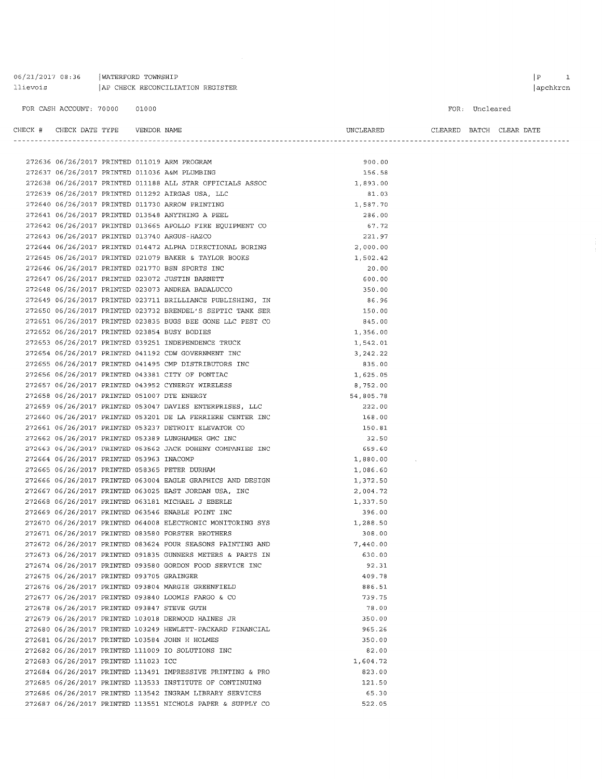### 06/21/2017 08:36 | WATERFORD TOWNSHIP 11 ievois | AP CHECK RECONCILIATION REGISTER

 $\bar{\mathcal{A}}$ 

FOR CASH ACCOUNT: 70000 01000 FOR: Uncleared  $\begin{tabular}{lllllll} \bf{CHECK} & \tt{\#} & \tt{CHECK} & \tt{DATE} & \tt{TFPE} & \tt{VENDOR} & \tt{NAME} \end{tabular}$ UNCLEARED CLEARED BATCH CLEAR DATE

|                                             |  | 272636 06/26/2017 PRINTED 011019 ARM PROGRAM               | 900.00    |
|---------------------------------------------|--|------------------------------------------------------------|-----------|
|                                             |  | 272637 06/26/2017 PRINTED 011036 A&M PLUMBING              | 156.58    |
|                                             |  | 272638 06/26/2017 PRINTED 011188 ALL STAR OFFICIALS ASSOC  | 1,893.00  |
|                                             |  | 272639 06/26/2017 PRINTED 011292 AIRGAS USA, LLC           | 81.03     |
|                                             |  | 272640 06/26/2017 PRINTED 011730 ARROW PRINTING            | 1,587.70  |
|                                             |  | 272641 06/26/2017 PRINTED 013548 ANYTHING A PEEL           | 286.00    |
|                                             |  | 272642 06/26/2017 PRINTED 013665 APOLLO FIRE EQUIPMENT CO  | 67.72     |
|                                             |  | 272643 06/26/2017 PRINTED 013740 ARGUS-HAZCO               | 221.97    |
|                                             |  | 272644 06/26/2017 PRINTED 014472 ALPHA DIRECTIONAL BORING  | 2,000.00  |
|                                             |  | 272645 06/26/2017 PRINTED 021079 BAKER & TAYLOR BOOKS      | 1,502.42  |
|                                             |  | 272646 06/26/2017 PRINTED 021770 BSN SPORTS INC            | 20.00     |
|                                             |  | 272647 06/26/2017 PRINTED 023072 JUSTIN BARNETT            | 600.00    |
|                                             |  | 272648 06/26/2017 PRINTED 023073 ANDREA BADALUCCO          | 350.00    |
|                                             |  | 272649 06/26/2017 PRINTED 023711 BRILLIANCE PUBLISHING, IN | 86.96     |
|                                             |  | 272650 06/26/2017 PRINTED 023732 BRENDEL'S SEPTIC TANK SER | 150.00    |
|                                             |  | 272651 06/26/2017 PRINTED 023835 BUGS BEE GONE LLC PEST CO | 845.00    |
|                                             |  | 272652 06/26/2017 PRINTED 023854 BUSY BODIES               | 1,356.00  |
|                                             |  | 272653 06/26/2017 PRINTED 039251 INDEPENDENCE TRUCK        | 1,542.01  |
|                                             |  | 272654 06/26/2017 PRINTED 041192 CDW GOVERNMENT INC        | 3,242.22  |
|                                             |  | 272655 06/26/2017 PRINTED 041495 CMP DISTRIBUTORS INC      | 835.00    |
|                                             |  | 272656 06/26/2017 PRINTED 043381 CITY OF PONTIAC           | 1,625.05  |
|                                             |  | 272657 06/26/2017 PRINTED 043952 CYNERGY WIRELESS          | 8,752.00  |
| 272658 06/26/2017 PRINTED 051007 DTE ENERGY |  |                                                            | 54,805.78 |
|                                             |  | 272659 06/26/2017 PRINTED 053047 DAVIES ENTERPRISES, LLC   | 222.00    |
|                                             |  | 272660 06/26/2017 PRINTED 053201 DE LA FERRIERE CENTER INC | 168.00    |
|                                             |  | 272661 06/26/2017 PRINTED 053237 DETROIT ELEVATOR CO       | 150.81    |
|                                             |  | 272662 06/26/2017 PRINTED 053389 LUNGHAMER GMC INC         | 32.50     |
|                                             |  | 272663 06/26/2017 PRINTED 053562 JACK DOHENY COMPANIES INC | 659.60    |
| 272664 06/26/2017 PRINTED 053963 INACOMP    |  |                                                            | 1,880.00  |
|                                             |  | 272665 06/26/2017 PRINTED 058365 PETER DURHAM              | 1,086.60  |
|                                             |  | 272666 06/26/2017 PRINTED 063004 EAGLE GRAPHICS AND DESIGN | 1,372.50  |
|                                             |  | 272667 06/26/2017 PRINTED 063025 EAST JORDAN USA, INC      | 2,004.72  |
|                                             |  | 272668 06/26/2017 PRINTED 063181 MICHAEL J EBERLE          | 1,337.50  |
|                                             |  | 272669 06/26/2017 PRINTED 063546 ENABLE POINT INC          | 396.00    |
|                                             |  | 272670 06/26/2017 PRINTED 064008 ELECTRONIC MONITORING SYS | 1,288.50  |
|                                             |  | 272671 06/26/2017 PRINTED 083580 FORSTER BROTHERS          | 308.00    |
|                                             |  | 272672 06/26/2017 PRINTED 083624 FOUR SEASONS PAINTING AND | 7,440.00  |
|                                             |  | 272673 06/26/2017 PRINTED 091835 GUNNERS METERS & PARTS IN | 630.00    |
|                                             |  | 272674 06/26/2017 PRINTED 093580 GORDON FOOD SERVICE INC   | 92.31     |
| 272675 06/26/2017 PRINTED 093705 GRAINGER   |  |                                                            | 409.78    |
|                                             |  | 272676 06/26/2017 PRINTED 093804 MARGIE GREENFIELD         | 886.51    |
|                                             |  | 272677 06/26/2017 PRINTED 093840 LOOMIS FARGO & CO         | 739.75    |
| 272678 06/26/2017 PRINTED 093847 STEVE GUTH |  |                                                            | 78.00     |
|                                             |  | 272679 06/26/2017 PRINTED 103018 DERWOOD HAINES JR         | 350.00    |
|                                             |  | 272680 06/26/2017 PRINTED 103249 HEWLETT-PACKARD FINANCIAL | 965.26    |
|                                             |  | 272681 06/26/2017 PRINTED 103584 JOHN H HOLMES             | 350.00    |
|                                             |  | 272682 06/26/2017 PRINTED 111009 IO SOLUTIONS INC          | 82.00     |
| 272683 06/26/2017 PRINTED 111023 ICC        |  |                                                            | 1,604.72  |
|                                             |  | 272684 06/26/2017 PRINTED 113491 IMPRESSIVE PRINTING & PRO | 823.00    |
|                                             |  | 272685 06/26/2017 PRINTED 113533 INSTITUTE OF CONTINUING   | 121.50    |
|                                             |  | 272686 06/26/2017 PRINTED 113542 INGRAM LIBRARY SERVICES   | 65.30     |
|                                             |  | 272687 06/26/2017 PRINTED 113551 NICHOLS PAPER & SUPPLY CO | 522.05    |
|                                             |  |                                                            |           |

 $\begin{array}{|c|c|} \hline P & \quad & \mathbf{1} \\\hline \end{array}$ apchkrcn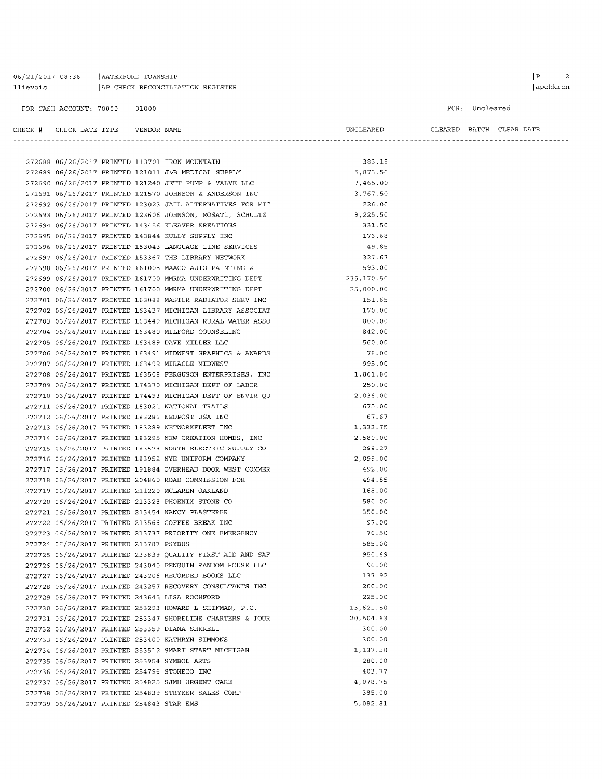06/21/2017 08:36 | WATERFORD TOWNSHIP AP CHECK RECONCILIATION REGISTER llievois

FOR: Uncleared

| CHECK # CHECK DATE TYPE    VENDOR NAME       |  |                                                                                                            | UNCLEARED   | . | CLEARED BATCH CLEAR DATE |  |
|----------------------------------------------|--|------------------------------------------------------------------------------------------------------------|-------------|---|--------------------------|--|
|                                              |  |                                                                                                            |             |   |                          |  |
|                                              |  |                                                                                                            | 383.18      |   |                          |  |
|                                              |  | 272689 06/26/2017 PRINTED 121011 J&B MEDICAL SUPPLY<br>272690 06/26/2017 PRINTED 121011 J&B MEDICAL SUPPLY | 5,873.56    |   |                          |  |
|                                              |  | 272690 06/26/2017 PRINTED 121240 JETT PUMP & VALVE LLC                                                     | 7,465.00    |   |                          |  |
|                                              |  | 272691 06/26/2017 PRINTED 121570 JOHNSON & ANDERSON INC                                                    | 3,767.50    |   |                          |  |
|                                              |  | 272692 06/26/2017 PRINTED 123023 JAIL ALTERNATIVES FOR MIC                                                 | 226.00      |   |                          |  |
|                                              |  | 272693 06/26/2017 PRINTED 123606 JOHNSON, ROSATI, SCHULTZ                                                  | 9,225.50    |   |                          |  |
|                                              |  | 272694 06/26/2017 PRINTED 143456 KLEAVER KREATIONS                                                         | 331.50      |   |                          |  |
|                                              |  | 272695 06/26/2017 PRINTED 143844 KULLY SUPPLY INC                                                          | 176.68      |   |                          |  |
|                                              |  | 272696 06/26/2017 PRINTED 153043 LANGUAGE LINE SERVICES                                                    | 49.85       |   |                          |  |
|                                              |  | 272697 06/26/2017 PRINTED 153367 THE LIBRARY NETWORK                                                       | 327.67      |   |                          |  |
|                                              |  | 272698 06/26/2017 PRINTED 161005 MAACO AUTO PAINTING &                                                     | 593.00      |   |                          |  |
|                                              |  | 272699 06/26/2017 PRINTED 161700 MMRMA UNDERWRITING DEPT                                                   | 235, 170.50 |   |                          |  |
|                                              |  | 272700 06/26/2017 PRINTED 161700 MMRMA UNDERWRITING DEPT                                                   | 25,000.00   |   |                          |  |
|                                              |  | 272701 06/26/2017 PRINTED 163088 MASTER RADIATOR SERV INC                                                  | 151.65      |   |                          |  |
|                                              |  | 272702 06/26/2017 PRINTED 163437 MICHIGAN LIBRARY ASSOCIAT                                                 | 170.00      |   |                          |  |
|                                              |  | 272703 06/26/2017 PRINTED 163449 MICHIGAN RURAL WATER ASSO                                                 | 800.00      |   |                          |  |
|                                              |  | 272704 06/26/2017 PRINTED 163480 MILFORD COUNSELING                                                        | 842.00      |   |                          |  |
|                                              |  | 272705 06/26/2017 PRINTED 163489 DAVE MILLER LLC                                                           | 560.00      |   |                          |  |
|                                              |  | 272706 06/26/2017 PRINTED 163491 MIDWEST GRAPHICS & AWARDS                                                 | 78.00       |   |                          |  |
|                                              |  | 272707 06/26/2017 PRINTED 163492 MIRACLE MIDWEST                                                           | 995.00      |   |                          |  |
|                                              |  | 272708 06/26/2017 PRINTED 163508 FERGUSON ENTERPRISES, INC                                                 | 1,861.80    |   |                          |  |
|                                              |  | 272709 06/26/2017 PRINTED 174370 MICHIGAN DEPT OF LABOR                                                    | 250.00      |   |                          |  |
|                                              |  | 272710 06/26/2017 PRINTED 174493 MICHIGAN DEPT OF ENVIR QU                                                 | 2,036.00    |   |                          |  |
|                                              |  | 272711 06/26/2017 PRINTED 183021 NATIONAL TRAILS                                                           | 675.00      |   |                          |  |
|                                              |  | 272712 06/26/2017 PRINTED 183286 NEOPOST USA INC                                                           | 67.67       |   |                          |  |
|                                              |  | 272713 06/26/2017 PRINTED 183289 NETWORKFLEET INC                                                          | 1,333.75    |   |                          |  |
|                                              |  | 272714 06/26/2017 PRINTED 183295 NEW CREATION HOMES, INC                                                   | 2,580.00    |   |                          |  |
|                                              |  | 272715 06/26/2017 PRINTED 183578 NORTH ELECTRIC SUPPLY CO                                                  | 299.27      |   |                          |  |
|                                              |  | 272716 06/26/2017 PRINTED 183952 NYE UNIFORM COMPANY                                                       | 2,099.00    |   |                          |  |
|                                              |  | 272717 06/26/2017 PRINTED 191884 OVERHEAD DOOR WEST COMMER                                                 | 492.00      |   |                          |  |
|                                              |  | 272718 06/26/2017 PRINTED 204860 ROAD COMMISSION FOR                                                       | 494.85      |   |                          |  |
|                                              |  | 272719 06/26/2017 PRINTED 211220 MCLAREN OAKLAND                                                           | 168.00      |   |                          |  |
|                                              |  | 272720 06/26/2017 PRINTED 213328 PHOENIX STONE CO                                                          | 580.00      |   |                          |  |
|                                              |  | 272721 06/26/2017 PRINTED 213454 NANCY PLASTERER                                                           | 350.00      |   |                          |  |
|                                              |  | 272722 06/26/2017 PRINTED 213566 COFFEE BREAK INC                                                          | 97.00       |   |                          |  |
|                                              |  | 272723 06/26/2017 PRINTED 213737 PRIORITY ONE EMERGENCY                                                    | 70.50       |   |                          |  |
| 272724 06/26/2017 PRINTED 213787 PSYBUS      |  |                                                                                                            | 585.00      |   |                          |  |
|                                              |  | 272725 06/26/2017 PRINTED 233839 QUALITY FIRST AID AND SAF                                                 | 950.69      |   |                          |  |
|                                              |  | 272726 06/26/2017 PRINTED 243040 PENGUIN RANDOM HOUSE LLC                                                  | 90.00       |   |                          |  |
|                                              |  | 272727 06/26/2017 PRINTED 243206 RECORDED BOOKS LLC                                                        | 137.92      |   |                          |  |
|                                              |  | 272728 06/26/2017 PRINTED 243257 RECOVERY CONSULTANTS INC                                                  | 200.00      |   |                          |  |
|                                              |  | 272729 06/26/2017 PRINTED 243645 LISA ROCHFORD                                                             | 225.00      |   |                          |  |
|                                              |  | 272730 06/26/2017 PRINTED 253293 HOWARD L SHIFMAN, P.C.                                                    | 13,621.50   |   |                          |  |
|                                              |  | 272731 06/26/2017 PRINTED 253347 SHORELINE CHARTERS & TOUR                                                 | 20,504.63   |   |                          |  |
|                                              |  | 272732 06/26/2017 PRINTED 253359 DIANA SHKRELI                                                             | 300.00      |   |                          |  |
|                                              |  | 272733 06/26/2017 PRINTED 253400 KATHRYN SIMMONS                                                           | 300.00      |   |                          |  |
|                                              |  | 272734 06/26/2017 PRINTED 253512 SMART START MICHIGAN                                                      | 1,137.50    |   |                          |  |
| 272735 06/26/2017 PRINTED 253954 SYMBOL ARTS |  |                                                                                                            | 280.00      |   |                          |  |
|                                              |  | 272736 06/26/2017 PRINTED 254796 STONECO INC                                                               | 403.77      |   |                          |  |
|                                              |  | 272737 06/26/2017 PRINTED 254825 SJMH URGENT CARE                                                          | 4,078.75    |   |                          |  |
|                                              |  | 272738 06/26/2017 PRINTED 254839 STRYKER SALES CORP                                                        | 385.00      |   |                          |  |
| 272739 06/26/2017 PRINTED 254843 STAR EMS    |  |                                                                                                            | 5,082.81    |   |                          |  |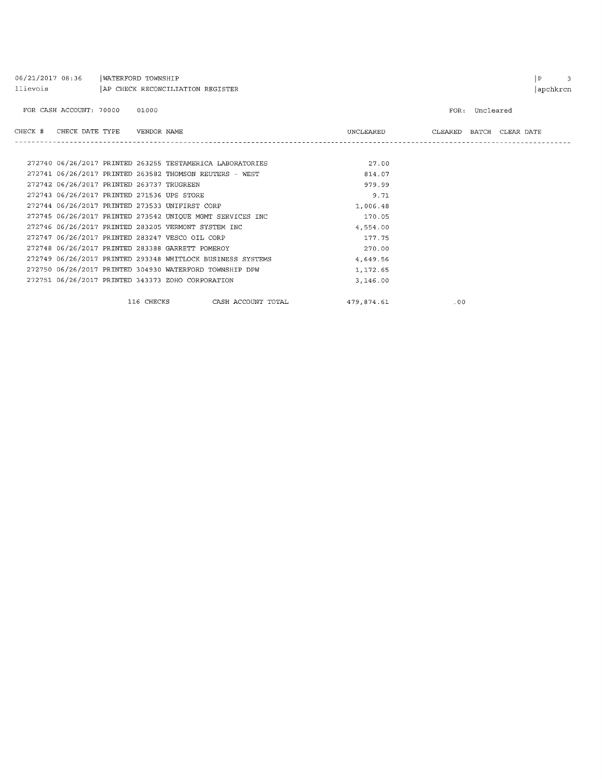| 06/21/2017 08:36<br>llievois                     | WATERFORD TOWNSHIP<br>AP CHECK RECONCILIATION REGISTER |                                                            |            |     |                                    |  |  |  |
|--------------------------------------------------|--------------------------------------------------------|------------------------------------------------------------|------------|-----|------------------------------------|--|--|--|
| FOR CASH ACCOUNT: 70000                          | 01000                                                  |                                                            |            |     | FOR: Uncleared                     |  |  |  |
| CHECK #                                          |                                                        |                                                            |            |     | UNCLEARED CLEARED BATCH CLEAR DATE |  |  |  |
|                                                  |                                                        |                                                            |            |     |                                    |  |  |  |
|                                                  |                                                        | 272740 06/26/2017 PRINTED 263255 TESTAMERICA LABORATORIES  | 27.00      |     |                                    |  |  |  |
|                                                  |                                                        | 272741 06/26/2017 PRINTED 263582 THOMSON REUTERS - WEST    | 814.07     |     |                                    |  |  |  |
| 272742 06/26/2017 PRINTED 263737 TRUGREEN        |                                                        |                                                            | 979.99     |     |                                    |  |  |  |
| 272743 06/26/2017 PRINTED 271536 UPS STORE       |                                                        |                                                            | 9.71       |     |                                    |  |  |  |
| 272744 06/26/2017 PRINTED 273533 UNIFIRST CORP   |                                                        |                                                            | 1,006.48   |     |                                    |  |  |  |
|                                                  |                                                        | 272745 06/26/2017 PRINTED 273542 UNIQUE MGMT SERVICES INC  | 170.05     |     |                                    |  |  |  |
|                                                  |                                                        | 272746 06/26/2017 PRINTED 283205 VERMONT SYSTEM INC        | 4,554.00   |     |                                    |  |  |  |
| 272747 06/26/2017 PRINTED 283247 VESCO OIL CORP  |                                                        |                                                            | 177.75     |     |                                    |  |  |  |
| 272748 06/26/2017 PRINTED 283388 GARRETT POMEROY |                                                        |                                                            | 270.00     |     |                                    |  |  |  |
|                                                  |                                                        | 272749 06/26/2017 PRINTED 293348 WHITLOCK BUSINESS SYSTEMS | 4,649.56   |     |                                    |  |  |  |
|                                                  |                                                        | 272750 06/26/2017 PRINTED 304930 WATERFORD TOWNSHIP DPW    | 1,172.65   |     |                                    |  |  |  |
|                                                  |                                                        | 272751 06/26/2017 PRINTED 343373 ZOHO CORPORATION          | 3,146.00   |     |                                    |  |  |  |
|                                                  | 116 CHECKS                                             | CASH ACCOUNT TOTAL                                         | 479,874.61 | .00 |                                    |  |  |  |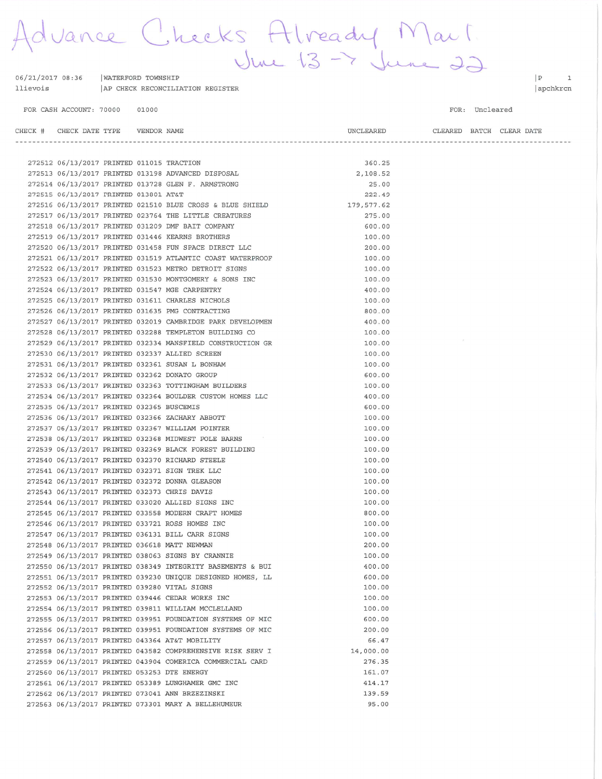Advance Checks Already Mart WATERFORD TOWNSHIP REGISTER

| llievois |  | AP CHECK RECONCILIATION F |  |
|----------|--|---------------------------|--|
|          |  |                           |  |

FOR CASH ACCOUNT: 70000 01000

06/21/2017 08:36

FOR: Uncleared

| CHECK # CHECK DATE TYPE    VENDOR NAME      |  |                                                                      | UNCLEARED |  | CLEARED BATCH CLEAR DATE |
|---------------------------------------------|--|----------------------------------------------------------------------|-----------|--|--------------------------|
|                                             |  |                                                                      |           |  |                          |
| 272512 06/13/2017 PRINTED 011015 TRACTION   |  |                                                                      | 360.25    |  |                          |
|                                             |  | 272513 06/13/2017 PRINTED 013198 ADVANCED DISPOSAL                   | 2,108.52  |  |                          |
|                                             |  | 272514 06/13/2017 PRINTED 013728 GLEN F. ARMSTRONG                   | 25.00     |  |                          |
| 272515 06/13/2017 PRINTED 013801 AT&T       |  |                                                                      | 222.49    |  |                          |
|                                             |  | 272516 06/13/2017 PRINTED 021510 BLUE CROSS & BLUE SHIELD 179,577.62 |           |  |                          |
|                                             |  | 272517 06/13/2017 PRINTED 023764 THE LITTLE CREATURES                | 275.00    |  |                          |
|                                             |  | 272518 06/13/2017 PRINTED 031209 DMF BAIT COMPANY                    | 600.00    |  |                          |
|                                             |  | 272519 06/13/2017 PRINTED 031446 KEARNS BROTHERS                     | 100.00    |  |                          |
|                                             |  | 272520 06/13/2017 PRINTED 031458 FUN SPACE DIRECT LLC                | 200.00    |  |                          |
|                                             |  | 272521 06/13/2017 PRINTED 031519 ATLANTIC COAST WATERPROOF           | 100.00    |  |                          |
|                                             |  | 272522 06/13/2017 PRINTED 031523 METRO DETROIT SIGNS                 | 100.00    |  |                          |
|                                             |  | 272523 06/13/2017 PRINTED 031530 MONTGOMERY & SONS INC               | 100.00    |  |                          |
|                                             |  | 272524 06/13/2017 PRINTED 031547 MGE CARPENTRY                       | 400.00    |  |                          |
|                                             |  | 272525 06/13/2017 PRINTED 031611 CHARLES NICHOLS                     | 100.00    |  |                          |
|                                             |  | 272526 06/13/2017 PRINTED 031635 PMG CONTRACTING                     | 800.00    |  |                          |
|                                             |  | 272527 06/13/2017 PRINTED 032019 CAMBRIDGE PARK DEVELOPMEN           | 400.00    |  |                          |
|                                             |  | 272528 06/13/2017 PRINTED 032288 TEMPLETON BUILDING CO               | 100.00    |  |                          |
|                                             |  | 272529 06/13/2017 PRINTED 032334 MANSFIELD CONSTRUCTION GR           | 100.00    |  |                          |
|                                             |  | 272530 06/13/2017 PRINTED 032337 ALLIED SCREEN                       | 100.00    |  |                          |
|                                             |  | 272531 06/13/2017 PRINTED 032361 SUSAN L BONHAM                      | 100.00    |  |                          |
|                                             |  | 272532 06/13/2017 PRINTED 032362 DONATO GROUP                        | 600.00    |  |                          |
|                                             |  | 272533 06/13/2017 PRINTED 032363 TOTTINGHAM BUILDERS                 | 100.00    |  |                          |
|                                             |  | 272534 06/13/2017 PRINTED 032364 BOULDER CUSTOM HOMES LLC            | 400.00    |  |                          |
| 272535 06/13/2017 PRINTED 032365 BUSCEMIS   |  |                                                                      | 600.00    |  |                          |
|                                             |  | 272536 06/13/2017 PRINTED 032366 ZACHARY ABBOTT                      | 100.00    |  |                          |
|                                             |  | 272537 06/13/2017 PRINTED 032367 WILLIAM POINTER                     | 100.00    |  |                          |
|                                             |  | 272538 06/13/2017 PRINTED 032368 MIDWEST POLE BARNS                  | 100.00    |  |                          |
|                                             |  | 272539 06/13/2017 PRINTED 032369 BLACK FOREST BUILDING               | 100.00    |  |                          |
|                                             |  | 272540 06/13/2017 PRINTED 032370 RICHARD STEELE                      | 100.00    |  |                          |
|                                             |  | 272541 06/13/2017 PRINTED 032371 SIGN TREK LLC                       | 100.00    |  |                          |
|                                             |  | 272542 06/13/2017 PRINTED 032372 DONNA GLEASON                       | 100.00    |  |                          |
|                                             |  | 272543 06/13/2017 PRINTED 032373 CHRIS DAVIS                         | 100.00    |  |                          |
|                                             |  | 272544 06/13/2017 PRINTED 033020 ALLIED SIGNS INC                    | 100.00    |  |                          |
|                                             |  | 272545 06/13/2017 PRINTED 033558 MODERN CRAFT HOMES                  | 800.00    |  |                          |
|                                             |  | 272546 06/13/2017 PRINTED 033721 ROSS HOMES INC                      | 100.00    |  |                          |
|                                             |  | 272547 06/13/2017 PRINTED 036131 BILL CARR SIGNS                     | 100.00    |  |                          |
|                                             |  | 272548 06/13/2017 PRINTED 036618 MATT NEWMAN                         | 200.00    |  |                          |
|                                             |  | 272549 06/13/2017 PRINTED 038063 SIGNS BY CRANNIE                    | 100.00    |  |                          |
|                                             |  | 272550 06/13/2017 PRINTED 038349 INTEGRITY BASEMENTS & BUI           | 400.00    |  |                          |
|                                             |  | 272551 06/13/2017 PRINTED 039230 UNIQUE DESIGNED HOMES, LL           | 600.00    |  |                          |
|                                             |  | 272552 06/13/2017 PRINTED 039280 VITAL SIGNS                         | 100.00    |  |                          |
|                                             |  | 272553 06/13/2017 PRINTED 039446 CEDAR WORKS INC                     | 100.00    |  |                          |
|                                             |  | 272554 06/13/2017 PRINTED 039811 WILLIAM MCCLELLAND                  | 100.00    |  |                          |
|                                             |  | 272555 06/13/2017 PRINTED 039951 FOUNDATION SYSTEMS OF MIC           | 600.00    |  |                          |
|                                             |  | 272556 06/13/2017 PRINTED 039951 FOUNDATION SYSTEMS OF MIC           | 200.00    |  |                          |
|                                             |  | 272557 06/13/2017 PRINTED 043364 AT&T MOBILITY                       | 66.47     |  |                          |
|                                             |  | 272558 06/13/2017 PRINTED 043582 COMPREHENSIVE RISK SERV I           | 14,000.00 |  |                          |
|                                             |  | 272559 06/13/2017 PRINTED 043904 COMERICA COMMERCIAL CARD            | 276.35    |  |                          |
| 272560 06/13/2017 PRINTED 053253 DTE ENERGY |  |                                                                      | 161.07    |  |                          |
|                                             |  | 272561 06/13/2017 PRINTED 053389 LUNGHAMER GMC INC                   | 414.17    |  |                          |
|                                             |  | 272562 06/13/2017 PRINTED 073041 ANN BRZEZINSKI                      | 139.59    |  |                          |
|                                             |  | 272563 06/13/2017 PRINTED 073301 MARY A BELLEHUMEUR                  | 95.00     |  |                          |

 $|P|$  1 apchkrcn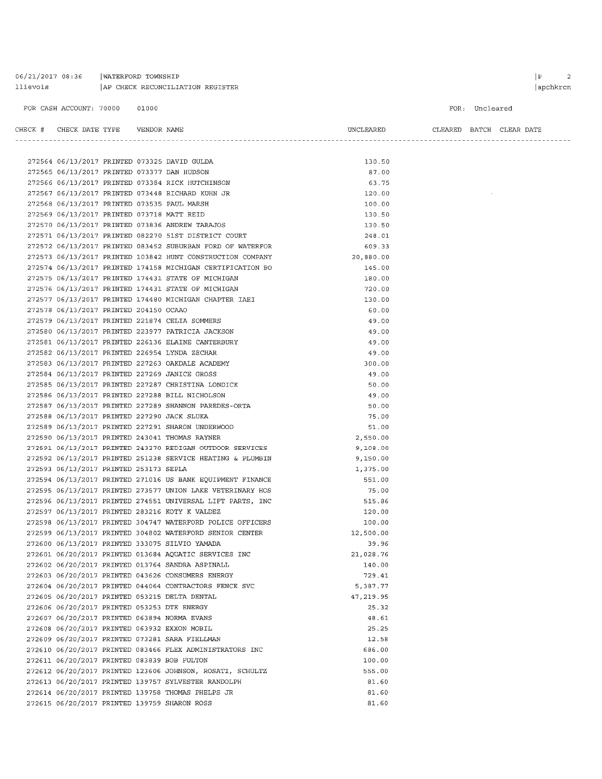### 06/21/2017 08:36 | WATERFORD TOWNSHIP llievois AP CHECK RECONCILIATION REGISTER

272615 06/20/2017 PRINTED 139759 SHARON ROSS

### FOR CASH ACCOUNT: 70000 01000

FOR: Uncleared

CHECK # CHECK DATE TYPE VENDOR NAME UNCLEARED CLEARED BATCH CLEAR DATE 272564 06/13/2017 PRINTED 073325 DAVID GULDA 130.50 272565 06/13/2017 PRINTED 073377 DAN HUDSON 87.00 272566 06/13/2017 PRINTED 073384 RICK HUTCHINSON 63.75 272567 06/13/2017 PRINTED 073448 RICHARD KUHN JR 120.00  $\sim$ 272568 06/13/2017 PRINTED 073535 PAUL MARSH 100.00 272569 06/13/2017 PRINTED 073718 MATT REID 130.50 272570 06/13/2017 PRINTED 073836 ANDREW TARAJOS 130.50  $01$ 33  $00\,$  $_{\rm 00}$  $00$  $00\,$ 

 $81.60$ 

|                                             |  | 272571 06/13/2017 PRINTED 082270 51ST DISTRICT COURT       | 248.01    |
|---------------------------------------------|--|------------------------------------------------------------|-----------|
|                                             |  | 272572 06/13/2017 PRINTED 083452 SUBURBAN FORD OF WATERFOR | 609.33    |
|                                             |  | 272573 06/13/2017 PRINTED 103842 HUNT CONSTRUCTION COMPANY | 20,880.00 |
|                                             |  | 272574 06/13/2017 PRINTED 174158 MICHIGAN CERTIFICATION BO | 145.00    |
|                                             |  | 272575 06/13/2017 PRINTED 174431 STATE OF MICHIGAN         | 180.00    |
|                                             |  | 272576 06/13/2017 PRINTED 174431 STATE OF MICHIGAN         | 720.00    |
|                                             |  | 272577 06/13/2017 PRINTED 174480 MICHIGAN CHAPTER IAEI     | 130.00    |
| 272578 06/13/2017 PRINTED 204150 OCAAO      |  |                                                            | 60.00     |
|                                             |  | 272579 06/13/2017 PRINTED 221874 CELIA SOMMERS             | 49.00     |
|                                             |  | 272580 06/13/2017 PRINTED 223977 PATRICIA JACKSON          | 49.00     |
|                                             |  | 272581 06/13/2017 PRINTED 226136 ELAINE CANTERBURY         | 49.00     |
|                                             |  | 272582 06/13/2017 PRINTED 226954 LYNDA ZECHAR              | 49.00     |
|                                             |  | 272583 06/13/2017 PRINTED 227263 OAKDALE ACADEMY           | 300.00    |
|                                             |  | 272584 06/13/2017 PRINTED 227269 JANICE GROSS              | 49.00     |
|                                             |  | 272585 06/13/2017 PRINTED 227287 CHRISTINA LONDICK         | 50.00     |
|                                             |  | 272586 06/13/2017 PRINTED 227288 BILL NICHOLSON            | 49.00     |
|                                             |  | 272587 06/13/2017 PRINTED 227289 SHANNON PAREDES-ORTA      | 50.00     |
| 272588 06/13/2017 PRINTED 227290 JACK SLUKA |  |                                                            | 75.00     |
|                                             |  | 272589 06/13/2017 PRINTED 227291 SHARON UNDERWOOD          | 51.00     |
|                                             |  | 272590 06/13/2017 PRINTED 243041 THOMAS RAYNER             | 2,550.00  |
|                                             |  | 272591 06/13/2017 PRINTED 243270 REDIGAN OUTDOOR SERVICES  | 9,108.00  |
|                                             |  | 272592 06/13/2017 PRINTED 251238 SERVICE HEATING & PLUMBIN | 9,150.00  |
| 272593 06/13/2017 PRINTED 253173 SEPLA      |  |                                                            | 1,375.00  |
|                                             |  | 272594 06/13/2017 PRINTED 271016 US BANK EQUIPMENT FINANCE | 551.00    |
|                                             |  | 272595 06/13/2017 PRINTED 273577 UNION LAKE VETERINARY HOS | 75.00     |
|                                             |  | 272596 06/13/2017 PRINTED 274551 UNIVERSAL LIFT PARTS, INC | 515.86    |
|                                             |  | 272597 06/13/2017 PRINTED 283216 KOTY K VALDEZ             | 120.00    |
|                                             |  | 272598 06/13/2017 PRINTED 304747 WATERFORD POLICE OFFICERS | 100.00    |
|                                             |  | 272599 06/13/2017 PRINTED 304802 WATERFORD SENIOR CENTER   | 12,500.00 |
|                                             |  | 272600 06/13/2017 PRINTED 333075 SILVIO YAMADA             | 39.96     |
|                                             |  | 272601 06/20/2017 PRINTED 013684 AQUATIC SERVICES INC      | 21,028.76 |
|                                             |  | 272602 06/20/2017 PRINTED 013764 SANDRA ASPINALL           | 140.00    |
|                                             |  | 272603 06/20/2017 PRINTED 043626 CONSUMERS ENERGY          | 729.41    |
|                                             |  | 272604 06/20/2017 PRINTED 044064 CONTRACTORS FENCE SVC     | 5,387.77  |
|                                             |  | 272605 06/20/2017 PRINTED 053215 DELTA DENTAL              | 47,219.95 |
| 272606 06/20/2017 PRINTED 053253 DTE ENERGY |  |                                                            | 25.32     |
|                                             |  | 272607 06/20/2017 PRINTED 063894 NORMA EVANS               | 48.61     |
|                                             |  | 272608 06/20/2017 PRINTED 063932 EXXON MOBIL               | 25.25     |
|                                             |  | 272609 06/20/2017 PRINTED 073281 SARA FIELLMAN             | 12.58     |
|                                             |  | 272610 06/20/2017 PRINTED 083466 FLEX ADMINISTRATORS INC   | 686.00    |
| 272611 06/20/2017 PRINTED 083839 BOB FULTON |  |                                                            | 100.00    |
|                                             |  | 272612 06/20/2017 PRINTED 123606 JOHNSON, ROSATI, SCHULTZ  | 555.00    |
|                                             |  | 272613 06/20/2017 PRINTED 139757 SYLVESTER RANDOLPH        | 81.60     |
|                                             |  | 272614 06/20/2017 PRINTED 139758 THOMAS PHELPS JR          | 81.60     |
|                                             |  |                                                            |           |

### $\begin{array}{ccc} \mid P & \mid & 2 \end{array}$ | apchkrcn